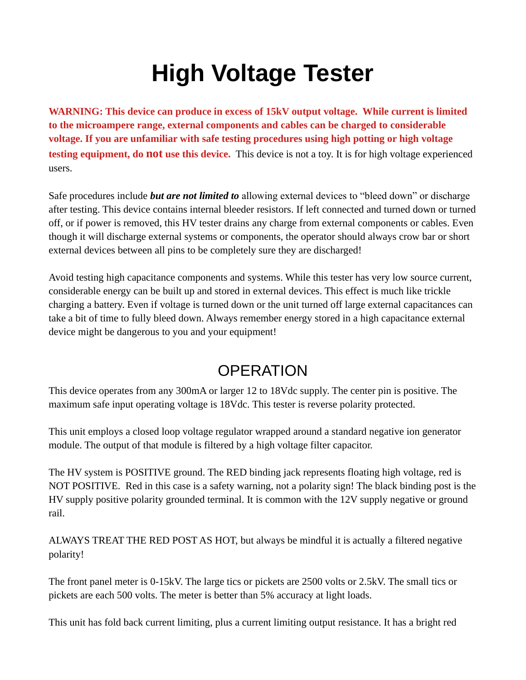## **High Voltage Tester**

**WARNING: This device can produce in excess of 15kV output voltage. While current is limited to the microampere range, external components and cables can be charged to considerable voltage. If you are unfamiliar with safe testing procedures using high potting or high voltage testing equipment, do not use this device.** This device is not a toy. It is for high voltage experienced users.

Safe procedures include *but are not limited to* allowing external devices to "bleed down" or discharge after testing. This device contains internal bleeder resistors. If left connected and turned down or turned off, or if power is removed, this HV tester drains any charge from external components or cables. Even though it will discharge external systems or components, the operator should always crow bar or short external devices between all pins to be completely sure they are discharged!

Avoid testing high capacitance components and systems. While this tester has very low source current, considerable energy can be built up and stored in external devices. This effect is much like trickle charging a battery. Even if voltage is turned down or the unit turned off large external capacitances can take a bit of time to fully bleed down. Always remember energy stored in a high capacitance external device might be dangerous to you and your equipment!

## **OPERATION**

This device operates from any 300mA or larger 12 to 18Vdc supply. The center pin is positive. The maximum safe input operating voltage is 18Vdc. This tester is reverse polarity protected.

This unit employs a closed loop voltage regulator wrapped around a standard negative ion generator module. The output of that module is filtered by a high voltage filter capacitor.

The HV system is POSITIVE ground. The RED binding jack represents floating high voltage, red is NOT POSITIVE. Red in this case is a safety warning, not a polarity sign! The black binding post is the HV supply positive polarity grounded terminal. It is common with the 12V supply negative or ground rail.

ALWAYS TREAT THE RED POST AS HOT, but always be mindful it is actually a filtered negative polarity!

The front panel meter is 0-15kV. The large tics or pickets are 2500 volts or 2.5kV. The small tics or pickets are each 500 volts. The meter is better than 5% accuracy at light loads.

This unit has fold back current limiting, plus a current limiting output resistance. It has a bright red